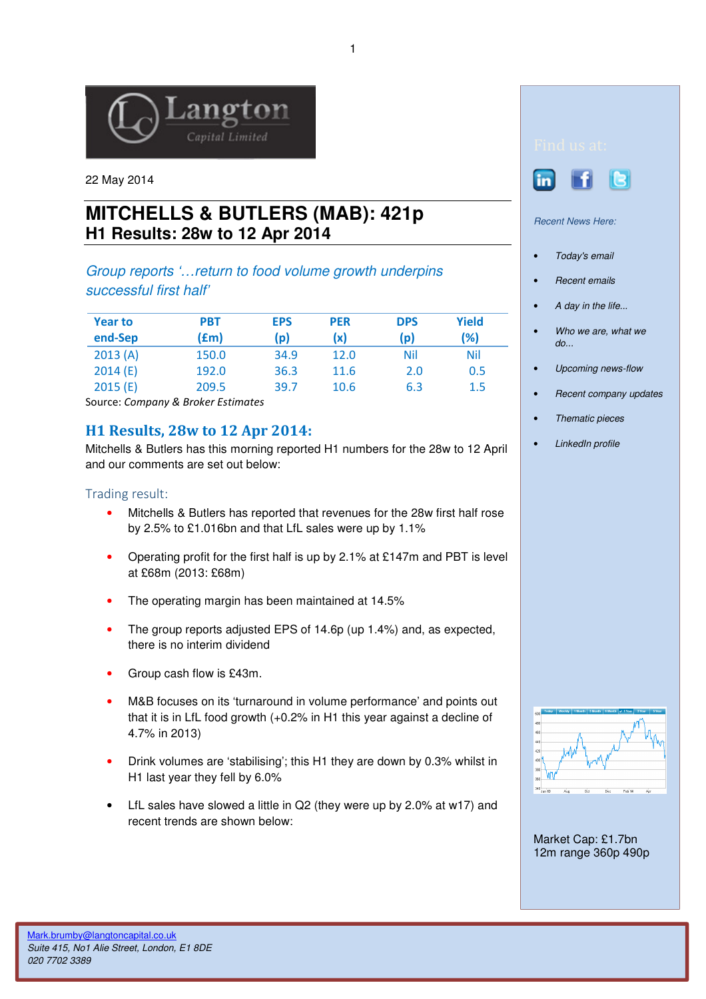

22 May 2014

# **MITCHELLS & BUTLERS (MAB): 421p H1 Results: 28w to 12 Apr 2014**

# Group reports '…return to food volume growth underpins successful first half'

| <b>Year to</b><br>end-Sep | <b>PBT</b><br>(£m) | <b>EPS</b><br>(p) | <b>PER</b><br>(x) | <b>DPS</b><br>$\mathsf{p}$ | <b>Yield</b><br>(%) |
|---------------------------|--------------------|-------------------|-------------------|----------------------------|---------------------|
| 2013(A)                   | 150.0              | 34.9              | 12.0              | Nil                        | Nil                 |
| 2014(E)                   | 192.0              | 36.3              | 11.6              | 2.0                        | 0.5                 |
| 2015(E)                   | 209.5              | 39.7              | 10.6              | 6.3                        | 1.5                 |

Source: Company & Broker Estimates

# H1 Results, 28w to 12 Apr 2014:

Mitchells & Butlers has this morning reported H1 numbers for the 28w to 12 April and our comments are set out below:

#### Trading result:

- Mitchells & Butlers has reported that revenues for the 28w first half rose by 2.5% to £1.016bn and that LfL sales were up by 1.1%
- Operating profit for the first half is up by 2.1% at £147m and PBT is level at £68m (2013: £68m)
- The operating margin has been maintained at 14.5%
- The group reports adjusted EPS of 14.6p (up 1.4%) and, as expected, there is no interim dividend
- Group cash flow is £43m.
- M&B focuses on its 'turnaround in volume performance' and points out that it is in LfL food growth (+0.2% in H1 this year against a decline of 4.7% in 2013)
- Drink volumes are 'stabilising'; this H1 they are down by 0.3% whilst in H1 last year they fell by 6.0%
- LfL sales have slowed a little in Q2 (they were up by 2.0% at w17) and recent trends are shown below:





Recent News Here:

- Today's email
- Recent emails
- A day in the life...
- Who we are, what we do...
- Upcoming news-flow
- Recent company updates
- Thematic pieces
- LinkedIn profile



Market Cap: £1.7bn 12m range 360p 490p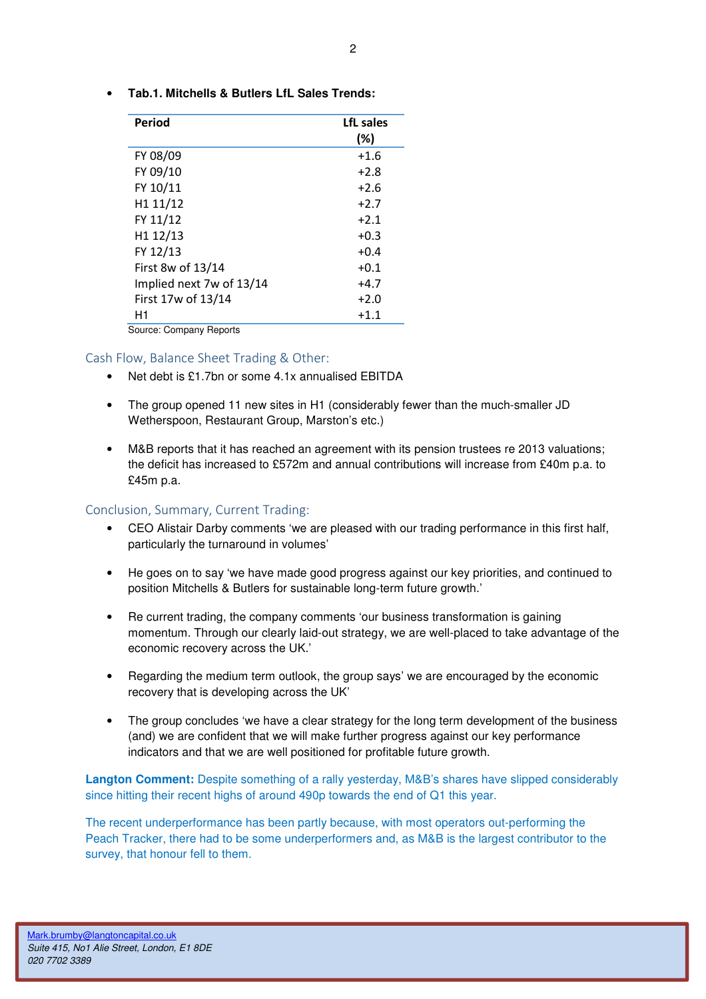• **Tab.1. Mitchells & Butlers LfL Sales Trends:** 

| Period                   | LfL sales<br>$(\%)$ |
|--------------------------|---------------------|
| FY 08/09                 | $+1.6$              |
| FY 09/10                 | $+2.8$              |
| FY 10/11                 | $+2.6$              |
| H1 11/12                 | $+2.7$              |
| FY 11/12                 | $+2.1$              |
| H1 12/13                 | $+0.3$              |
| FY 12/13                 | $+0.4$              |
| First 8w of 13/14        | $+0.1$              |
| Implied next 7w of 13/14 | $+4.7$              |
| First 17w of 13/14       | $+2.0$              |
| H1                       | $+1.1$              |
| Source: Company Reports  |                     |

Source: Company Reports

### Cash Flow, Balance Sheet Trading & Other:

- Net debt is £1.7bn or some 4.1x annualised EBITDA
- The group opened 11 new sites in H1 (considerably fewer than the much-smaller JD Wetherspoon, Restaurant Group, Marston's etc.)
- M&B reports that it has reached an agreement with its pension trustees re 2013 valuations; the deficit has increased to £572m and annual contributions will increase from £40m p.a. to £45m p.a.

### Conclusion, Summary, Current Trading:

- CEO Alistair Darby comments 'we are pleased with our trading performance in this first half, particularly the turnaround in volumes'
- He goes on to say 'we have made good progress against our key priorities, and continued to position Mitchells & Butlers for sustainable long-term future growth.'
- Re current trading, the company comments 'our business transformation is gaining momentum. Through our clearly laid-out strategy, we are well-placed to take advantage of the economic recovery across the UK.'
- Regarding the medium term outlook, the group says' we are encouraged by the economic recovery that is developing across the UK'
- The group concludes 'we have a clear strategy for the long term development of the business (and) we are confident that we will make further progress against our key performance indicators and that we are well positioned for profitable future growth.

**Langton Comment:** Despite something of a rally yesterday, M&B's shares have slipped considerably since hitting their recent highs of around 490p towards the end of Q1 this year.

The recent underperformance has been partly because, with most operators out-performing the Peach Tracker, there had to be some underperformers and, as M&B is the largest contributor to the survey, that honour fell to them.